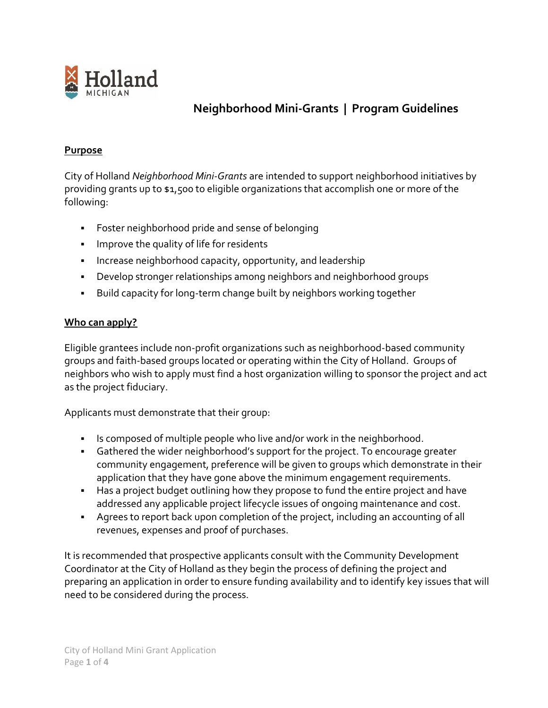

# **Neighborhood Mini-Grants | Program Guidelines**

## **[Purpose](https://www.lovemyhood.ca/en/tools-money/neighbourhood-matching-grant.aspx)**

City of Holland *Neighborhood Mini-Grants* are intended to support neighborhood initiatives by providing grants up to \$1,500 to eligible organizations that accomplish one or more of the following:

- **•** Foster neighborhood pride and sense of belonging
- **·** Improve the quality of life for residents
- **·** Increase neighborhood capacity, opportunity, and leadership
- Develop stronger relationships among neighbors and neighborhood groups
- Build capacity for long-term change built by neighbors working together

### **[Who can apply?](https://www.lovemyhood.ca/en/tools-money/neighbourhood-matching-grant.aspx)**

Eligible grantees include non-profit organizations such as neighborhood-based community groups and faith-based groups located or operating within the City of Holland. Groups of neighbors who wish to apply must find a host organization willing to sponsor the project and act as the project fiduciary.

Applicants must demonstrate that their group:

- Is composed of multiple people who live and/or work in the neighborhood.
- Gathered the wider neighborhood's support for the project. To encourage greater community engagement, preference will be given to groups which demonstrate in their application that they have gone above the minimum engagement requirements.
- Has a project budget outlining how they propose to fund the entire project and have addressed any applicable project lifecycle issues of ongoing maintenance and cost.
- Agrees to report back upon completion of the project, including an accounting of all revenues, expenses and proof of purchases.

It is recommended that prospective applicants consult with the Community Development Coordinator at the City of Holland as they begin the process of defining the project and preparing an application in order to ensure funding availability and to identify key issues that will need to be considered during the process.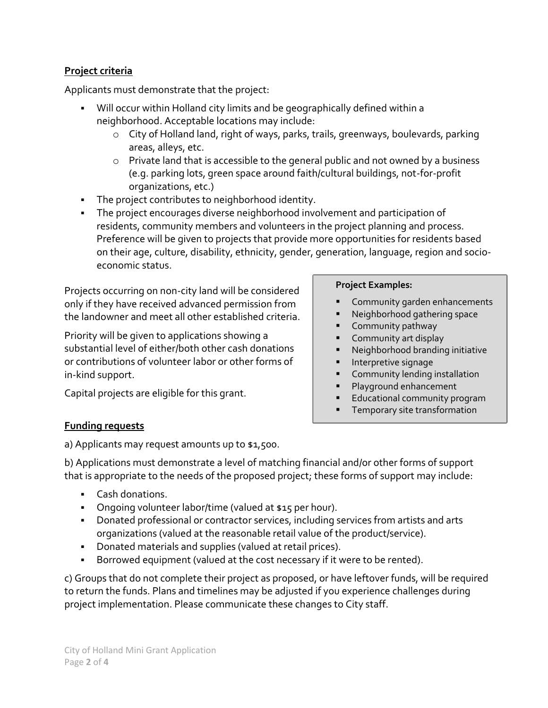## **[Project criteria](https://www.lovemyhood.ca/en/tools-money/neighbourhood-matching-grant.aspx)**

Applicants must demonstrate that the project:

- Will occur within Holland city limits and be geographically defined within a neighborhood. Acceptable locations may include:
	- o City of Holland land, right of ways, parks, trails, greenways, boulevards, parking areas, alleys, etc.
	- o Private land that is accessible to the general public and not owned by a business (e.g. parking lots, green space around faith/cultural buildings, not-for-profit organizations, etc.)
- The project contributes to neighborhood identity.
- The project encourages diverse neighborhood involvement and participation of residents, community members and volunteers in the project planning and process. Preference will be given to projects that provide more opportunities for residents based on their age, culture, disability, ethnicity, gender, generation, language, region and socioeconomic status.

Projects occurring on non-city land will be considered only if they have received advanced permission from the landowner and meet all other established criteria.

Priority will be given to applications showing a substantial level of either/both other cash donations or contributions of volunteer labor or other forms of in-kind support.

Capital projects are eligible for this grant.

#### **Project Examples:**

- Community garden enhancements
- Neighborhood gathering space
- Community pathway
- Community art display
- Neighborhood branding initiative
- Interpretive signage
- Community lending installation
- Playground enhancement
- **Educational community program**
- Temporary site transformation

## **[Funding requests](https://www.lovemyhood.ca/en/tools-money/neighbourhood-matching-grant.aspx)**

a) Applicants may request amounts up to \$1,500.

b) Applications must demonstrate a level of matching financial and/or other forms of support that is appropriate to the needs of the proposed project; these forms of support may include:

- Cash donations.
- **•** Ongoing volunteer labor/time (valued at \$15 per hour).
- **•** Donated professional or contractor services, including services from artists and arts organizations (valued at the reasonable retail value of the product/service).
- Donated materials and supplies (valued at retail prices).
- **EXEDED FIGHTS I** Borrowed equipment (valued at the cost necessary if it were to be rented).

c) Groups that do not complete their project as proposed, or have leftover funds, will be required to return the funds. Plans and timelines may be adjusted if you experience challenges during project implementation. Please communicate these changes to City staff.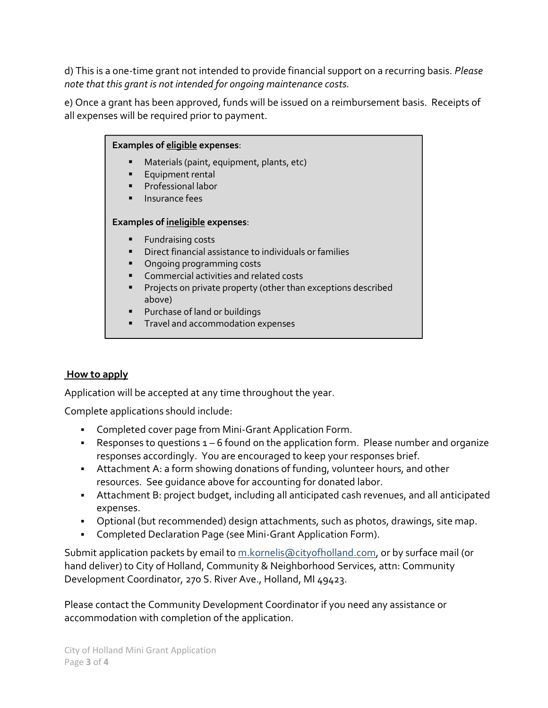d) This is a one-time grant not intended to provide financial support on a recurring basis. *Please note that this grant is not intended for ongoing maintenance costs.*

e) Once a grant has been approved, funds will be issued on a reimbursement basis. Receipts of all expenses will be required prior to payment.



## **[How to apply](https://www.lovemyhood.ca/en/tools-money/neighbourhood-matching-grant.aspx)**

Application will be accepted at any time throughout the year.

Complete applications should include:

- Completed cover page from Mini-Grant Application Form.
- **•** Responses to questions  $1 6$  found on the application form. Please number and organize responses accordingly. You are encouraged to keep your responses brief.
- **EXTED Attachment A: a form showing donations of funding, volunteer hours, and other** resources. See guidance above for accounting for donated labor.
- Attachment B: project budget, including all anticipated cash revenues, and all anticipated expenses.
- **•** Optional (but recommended) design attachments, such as photos, drawings, site map.
- **Completed Declaration Page (see Mini-Grant Application Form).**

Submit application packets by email to [m.kornelis@cityofholland.com,](mailto:m.kornelis@cityofholland.com) or by surface mail (or hand deliver) to City of Holland, Community & Neighborhood Services, attn: Community Development Coordinator, 270 S. River Ave., Holland, MI 49423.

Please contact the Community Development Coordinator if you need any assistance or accommodation with completion of the application.